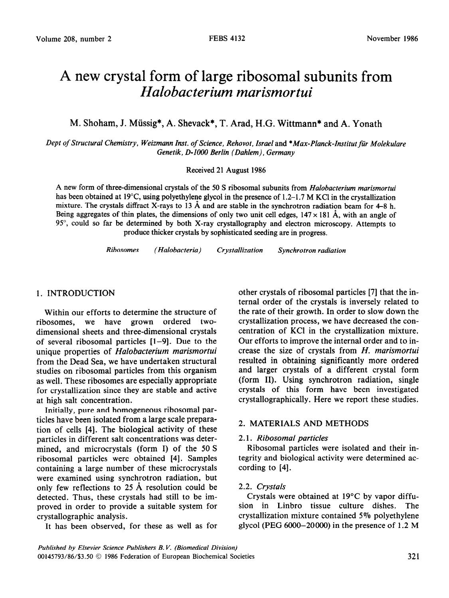# A new crystal form of large ribosomal subunits from *Halobacterium marismortui*

M. Shoham, J. Miissig\*, A. Shevack\*, T. Arad, H.G. Wittmann\* and A. Yonath

*Dept of Structural Chemistry, Weizmann Inst. of Science, Rehovot, Israel* and *\*Max-Planck-Institut fiir Molekulure Genetik, D-1000 Berlin (Dahlem), Germany* 

#### Received 21 August 1986

A new form of three-dimensional crystals of the 50 S ribosomal subunits from *Halobacterium marismortui* has been obtained at 19 $\degree$ C, using polyethylene glycol in the presence of 1.2-1.7 M KCl in the crystallization mixture. The crystals diffract X-rays to 13  $\AA$  and are stable in the synchrotron radiation beam for 4-8 h. Being aggregates of thin plates, the dimensions of only two unit cell edges,  $147 \times 181$  Å, with an angle of 95°, could so far be determined by both X-ray crystallography and electron microscopy. Attempts to produce thicker crystals by sophisticated seeding are in progress.

*Ribosomes (Halobacteria) Crystallization Synchrotron radiation* 

# 1. INTRODUCTION

Within our efforts to determine the structure of ribosomes, we have grown ordered twodimensional sheets and three-dimensional crystals of several ribosomal particles  $[1-9]$ . Due to the unique properties of *Halobacterium marismortui*  from the Dead Sea, we have undertaken structural studies on ribosomal particles from this organism as well. These ribosomes are especially appropriate for crystallization since they are stable and active at high salt concentration.

Initially, pure and homogeneous ribosomal particles have been isolated from a large scale preparation of cells [4]. The biological activity of these particles in different salt concentrations was determined, and microcrystals (form I) of the 50 S ribosomal particles were obtained [4]. Samples containing a large number of these microcrystals were examined using synchrotron radiation, but only few reflections to 25 A resolution could be detected. Thus, these crystals had still to be improved in order to provide a suitable system for crystallographic analysis.

It has been observed, for these as well as for

other crystals of ribosomal particles [7] that the internal order of the crystals is inversely related to the rate of their growth. In order to slow down the crystallization process, we have decreased the concentration of KC1 in the crystallization mixture. Our efforts to improve the internal order and to increase the size of crystals from *H. marismortui*  resulted in obtaining significantly more ordered and larger crystals of a different crystal form (form II). Using synchrotron radiation, single crystals of this form have been investigated crystallographically. Here we report these studies.

# 2. MATERIALS AND METHODS

#### 2.1. *Ribosomal particles*

Ribosomal particles were isolated and their integrity and biological activity were determined according to [4].

# 2.2. *Crystals*

Crystals were obtained at 19°C by vapor diffusion in Linbro tissue culture dishes. The crystallization mixture contained 5% polyethylene glycol (PEG 6000-20000) in the presence of 1.2 M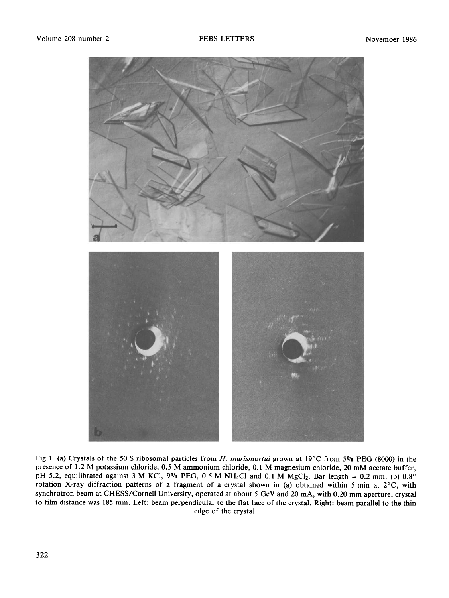

Fig.1. (a) Crystals of the 50 S ribosomal particles from *H. marismortui* grown at 19°C from 5% PEG (8000) in the presence of 1.2 M potassium chloride, 0.5 M ammonium chloride, 0.1 M magnesium chloride, 20 mM acetate buffer, pH 5.2, equilibrated against 3 M KCl, 9% PEG, 0.5 M NH<sub>4</sub>Cl and 0.1 M MgCl<sub>2</sub>. Bar length = 0.2 mm. (b) 0.8° rotation X-ray diffraction patterns of a fragment of a crystal shown in (a) obtained within 5 min at  $2^{\circ}C$ , with synchrotron beam at CHESS/Cornell University, operated at about 5 GeV and 20 mA, with 0.20 mm aperture, crystal to film distance was 185 mm. Left: beam perpendicular to the flat face of the crystal. Right: beam parallel to the thin edge of the crystal.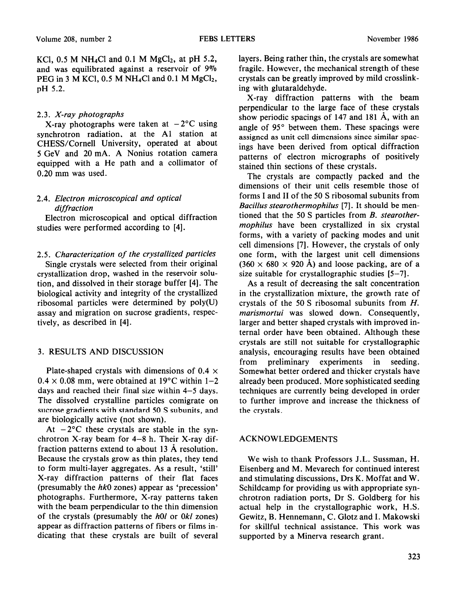KCI, 0.5 M NH<sub>4</sub>Cl and 0.1 M MgCl<sub>2</sub>, at pH 5.2, layers. Being rather thin, the crystals are somewhat and was equilibrated against a reservoir of  $9\%$  fragile. However, the mechanical strength of these PEG in 3 M KCl, 0.5 M NH<sub>4</sub>Cl and 0.1 M MgCl<sub>2</sub>, crystals can be greatly improved by mild crosslink-PEG in 3 M KCl, 0.5 M NH<sub>4</sub>Cl and 0.1 M MgCl<sub>2</sub>, pH 5.2. ing with glutaraldehyde.

#### 2.3. *X-ray photographs*

X-ray photographs were taken at  $-2$ °C using synchrotron radiation, at the Al station at CHESS/Cornell University, operated at about 5 GeV and 20 mA. A Nonius rotation camera equipped with a He path and a collimator of 0.20 mm was used.

# 2.4. *Electron microscopical and optical diffraction*

Electron microscopical and optical diffraction studies were performed according to [4].

2.5. *Characterization of the crystallized particles*  Single crystals were selected from their original crystallization drop, washed in the reservoir solution, and dissolved in their storage buffer [4]. The biological activity and integrity of the crystallized

ribosomal particles were determined by poly(U) assay and migration on sucrose gradients, respectively, as described in [4].

# 3. RESULTS AND DISCUSSION

Plate-shaped crystals with dimensions of 0.4  $\times$  $0.4 \times 0.08$  mm, were obtained at 19<sup>o</sup>C within 1–2 days and reached their final size within 4-5 days. The dissolved crystalline particles comigrate on sucrose gradients with standard 50 S subunits, and are biologically active (not shown).

At  $-2$ °C these crystals are stable in the synchrotron X-ray beam for 4-8 h. Their X-ray diffraction patterns extend to about 13 A resolution. Because the crystals grow as thin plates, they tend to form multi-layer aggregates. As a result, 'still' X-ray diffraction patterns of their flat faces (presumably the *hk0* zones) appear as 'precession' photographs. Furthermore, X-ray patterns taken with the beam perpendicular to the thin dimension of the crystals (presumably the *h01* or Okl zones) appear as diffraction patterns of fibers or films indicating that these crystals are built of several

X-ray diffraction patterns with the beam perpendicular to the large face of these crystals show periodic spacings of 147 and 181 A, with an angle of  $95^\circ$  between them. These spacings were assigned as unit cell dimensions since similar spacings have been derived from optical diffraction patterns of electron micrographs of positively stained thin sections of these crystals.

The crystals are compactly packed and the dimensions of their unit cells resemble those of forms I and II of the 50 S ribosomal subunits from *Bacillus stearothermophilus [7].* It should be mentioned that the 50 S particles from *B. stearothermophilus* have been crystallized in six crystal forms, with a variety of packing modes and unit cell dimensions [7]. However, the crystals of only one form, with the largest unit cell dimensions  $(360 \times 680 \times 920 \text{ Å})$  and loose packing, are of a size suitable for crystallographic studies  $[5-7]$ .

As a result of decreasing the salt concentration in the crystallization mixture, the growth rate of crystals of the 50 S ribosomal subunits from H. *marismortui* was slowed down. Consequently, larger and better shaped crystals with improved internal order have been obtained. Although these crystals are still not suitable for crystallographic analysis, encouraging results have been obtained from preliminary experiments in seeding. Somewhat better ordered and thicker crystals have already been produced. More sophisticated seeding techniques are currently being developed in order to further improve and increase the thickness of the crystals.

# ACKNOWLEDGEMENTS

We wish to thank Professors J.L. Sussman, H. Eisenberg and M. Mevarech for continued interest and stimulating discussions, Drs K. Moffat and W. Schildcamp for providing us with appropriate synchrotron radiation ports, Dr S. Goldberg for his actual help in the crystallographic work, H.S. Gewitz, B. Hennemann, C. Glotz and I. Makowski for skillful technical assistance. This work was supported by a Minerva research grant.